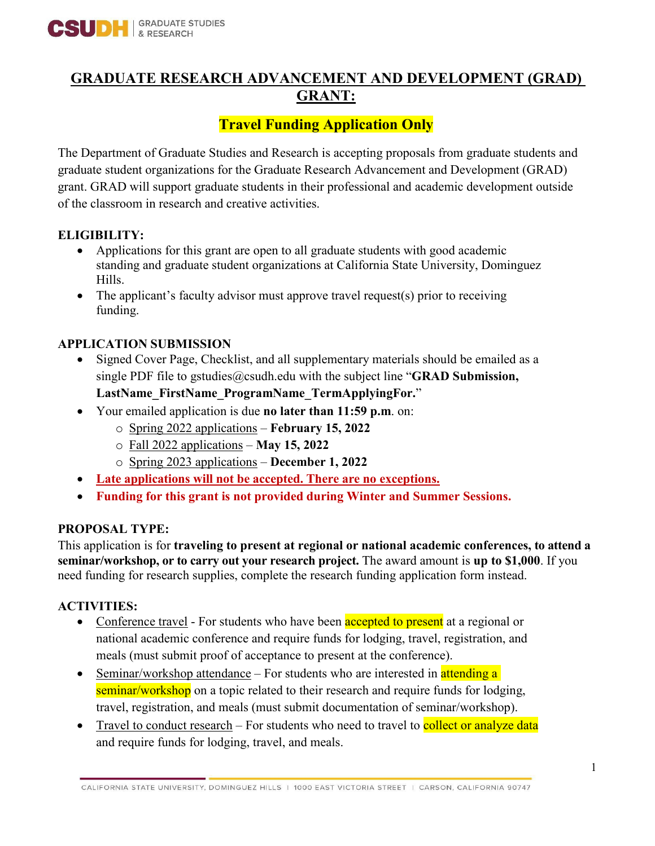

## **GRADUATE RESEARCH ADVANCEMENT AND DEVELOPMENT (GRAD) GRANT:**

# **Travel Funding Application Only**

The Department of Graduate Studies and Research is accepting proposals from graduate students and graduate student organizations for the Graduate Research Advancement and Development (GRAD) grant. GRAD will support graduate students in their professional and academic development outside of the classroom in research and creative activities.

#### **ELIGIBILITY:**

- Applications for this grant are open to all graduate students with good academic standing and graduate student organizations at California State University, Dominguez Hills.
- The applicant's faculty advisor must approve travel request(s) prior to receiving funding.

#### **APPLICATION SUBMISSION**

- Signed Cover Page, Checklist, and all supplementary materials should be emailed as a single PDF file to gstudies@csudh.edu with the subject line "**GRAD Submission,** 
	- **LastName\_FirstName\_ProgramName\_TermApplyingFor.**"
- Your emailed application is due **no later than 11:59 p.m**. on:
	- o Spring 2022 applications **February 15, 2022**
	- o Fall 2022 applications **May 15, 2022**
	- o Spring 2023 applications **December 1, 2022**
- **Late applications will not be accepted. There are no exceptions.**
- **Funding for this grant is not provided during Winter and Summer Sessions.**

#### **PROPOSAL TYPE:**

This application is for **traveling to present at regional or national academic conferences, to attend a seminar/workshop, or to carry out your research project.** The award amount is **up to \$1,000**. If you need funding for research supplies, complete the research funding application form instead.

#### **ACTIVITIES:**

- Conference travel For students who have been **accepted to present** at a regional or national academic conference and require funds for lodging, travel, registration, and meals (must submit proof of acceptance to present at the conference).
- Seminar/workshop attendance For students who are interested in attending a seminar/workshop on a topic related to their research and require funds for lodging, travel, registration, and meals (must submit documentation of seminar/workshop).
- Travel to conduct research For students who need to travel to **collect or analyze data** and require funds for lodging, travel, and meals.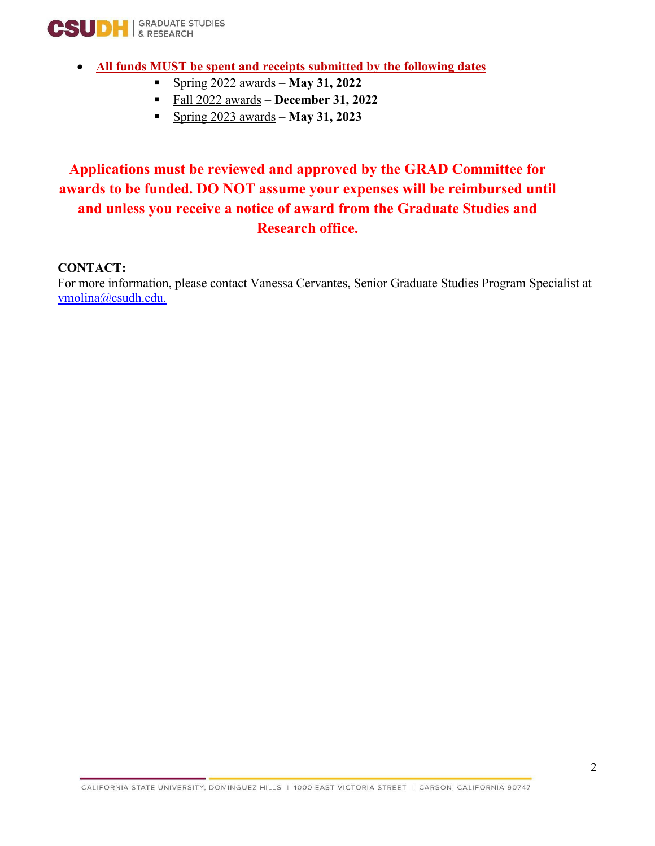

- **All funds MUST be spent and receipts submitted by the following dates**
	- Spring 2022 awards **May 31, 2022**
	- Fall 2022 awards **December 31, 2022**
	- Spring 2023 awards **May 31, 2023**

## **Applications must be reviewed and approved by the GRAD Committee for awards to be funded. DO NOT assume your expenses will be reimbursed until and unless you receive a notice of award from the Graduate Studies and Research office.**

#### **CONTACT:**

For more information, please contact Vanessa Cervantes, Senior Graduate Studies Program Specialist at [vmolina@csudh.edu.](mailto:vmolina@csudh.edu)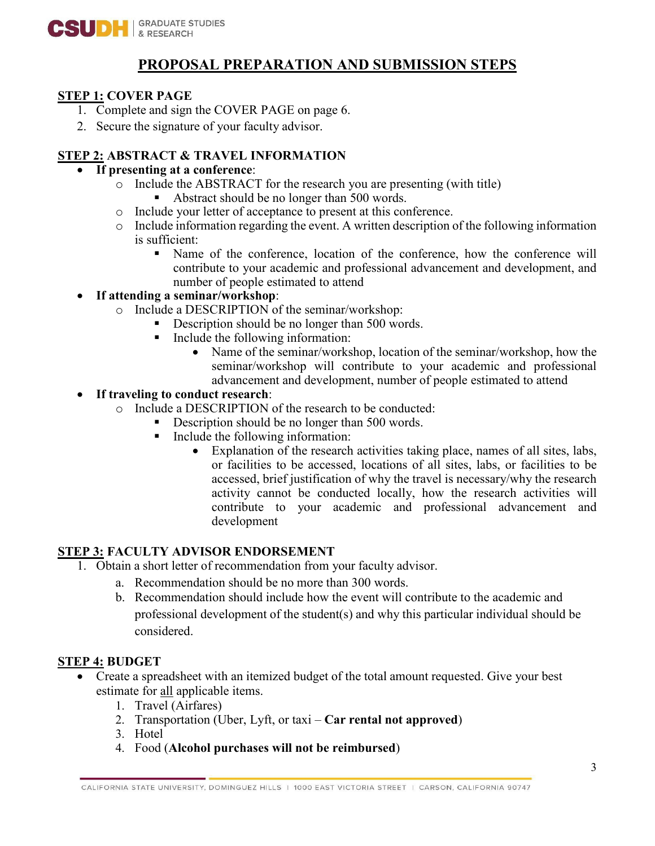

### **PROPOSAL PREPARATION AND SUBMISSION STEPS**

#### **STEP 1: COVER PAGE**

- 1. Complete and sign the COVER PAGE on page 6.
- 2. Secure the signature of your faculty advisor.

#### **STEP 2: ABSTRACT & TRAVEL INFORMATION**

#### • **If presenting at a conference**:

- o Include the ABSTRACT for the research you are presenting (with title)
	- Abstract should be no longer than 500 words.
- o Include your letter of acceptance to present at this conference.
- o Include information regarding the event. A written description of the following information is sufficient:
	- Name of the conference, location of the conference, how the conference will contribute to your academic and professional advancement and development, and number of people estimated to attend

#### • **If attending a seminar/workshop**:

- o Include a DESCRIPTION of the seminar/workshop:
	- Description should be no longer than 500 words.
	- Include the following information:
		- Name of the seminar/workshop, location of the seminar/workshop, how the seminar/workshop will contribute to your academic and professional advancement and development, number of people estimated to attend

#### • **If traveling to conduct research**:

- o Include a DESCRIPTION of the research to be conducted:
	- Description should be no longer than 500 words.
	- Include the following information:
		- Explanation of the research activities taking place, names of all sites, labs, or facilities to be accessed, locations of all sites, labs, or facilities to be accessed, brief justification of why the travel is necessary/why the research activity cannot be conducted locally, how the research activities will contribute to your academic and professional advancement and development

#### **STEP 3: FACULTY ADVISOR ENDORSEMENT**

- 1. Obtain a short letter of recommendation from your faculty advisor.
	- a. Recommendation should be no more than 300 words.
	- b. Recommendation should include how the event will contribute to the academic and professional development of the student(s) and why this particular individual should be considered.

#### **STEP 4: BUDGET**

- Create a spreadsheet with an itemized budget of the total amount requested. Give your best estimate for all applicable items.
	- 1. Travel (Airfares)
	- 2. Transportation (Uber, Lyft, or taxi **Car rental not approved**)
	- 3. Hotel
	- 4. Food (**Alcohol purchases will not be reimbursed**)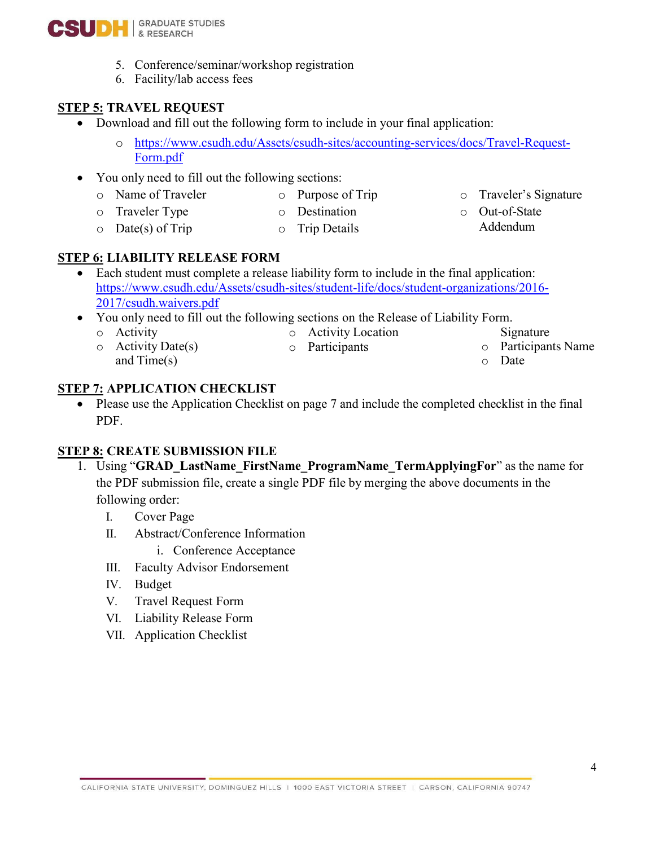

- 5. Conference/seminar/workshop registration
- 6. Facility/lab access fees

#### **STEP 5: TRAVEL REQUEST**

- Download and fill out the following form to include in your final application:
	- o [https://www.csudh.edu/Assets/csudh-sites/accounting-services/docs/Travel-Request-](https://www.csudh.edu/Assets/csudh-sites/accounting-services/docs/Travel-Request-Form.pdf)[Form.pdf](https://www.csudh.edu/Assets/csudh-sites/accounting-services/docs/Travel-Request-Form.pdf)
- You only need to fill out the following sections:
	- o Name of Traveler
	- o Traveler Type
- o Purpose of Trip o Destination
- o Traveler's Signature
- o Out-of-State Addendum

 $O$  Date(s) of Trip o Trip Details

#### **STEP 6: LIABILITY RELEASE FORM**

- Each student must complete a release liability form to include in the final application: [https://www.csudh.edu/Assets/csudh-sites/student-life/docs/student-organizations/2016-](https://www.csudh.edu/Assets/csudh-sites/student-life/docs/student-organizations/2016-2017/csudh.waivers.pdf) [2017/csudh.waivers.pdf](https://www.csudh.edu/Assets/csudh-sites/student-life/docs/student-organizations/2016-2017/csudh.waivers.pdf)
- You only need to fill out the following sections on the Release of Liability Form.
	- o [Activity](https://www.csudh.edu/Assets/csudh-sites/student-life/docs/student-organizations/2016-2017/csudh.waivers.pdf) o Activity Date(s)
- o Activity Location o Participants
- Signature o Participants Name
	- o Date

**STEP 7: APPLICATION CHECKLIST**

and Time(s)

• Please use the Application Checklist on page 7 and include the completed checklist in the final PDF.

#### **STEP 8: CREATE SUBMISSION FILE**

- 1. Using "**GRAD\_LastName\_FirstName\_ProgramName\_TermApplyingFor**" as the name for the PDF submission file, create a single PDF file by merging the above documents in the following order:
	- I. Cover Page
	- II. Abstract/Conference Information
		- i. Conference Acceptance
	- III. Faculty Advisor Endorsement
	- IV. Budget
	- V. Travel Request Form
	- VI. Liability Release Form
	- VII. Application Checklist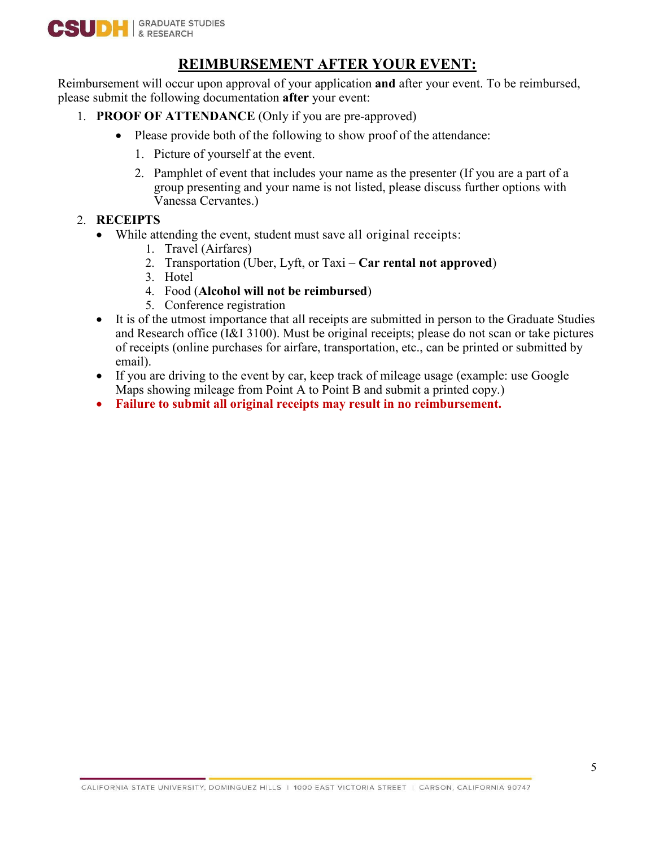

### **REIMBURSEMENT AFTER YOUR EVENT:**

Reimbursement will occur upon approval of your application **and** after your event. To be reimbursed, please submit the following documentation **after** your event:

- 1. **PROOF OF ATTENDANCE** (Only if you are pre-approved)
	- Please provide both of the following to show proof of the attendance:
		- 1. Picture of yourself at the event.
		- 2. Pamphlet of event that includes your name as the presenter (If you are a part of a group presenting and your name is not listed, please discuss further options with Vanessa Cervantes.)
- 2. **RECEIPTS**
	- While attending the event, student must save all original receipts:
		- 1. Travel (Airfares)
		- 2. Transportation (Uber, Lyft, or Taxi **Car rental not approved**)
		- 3. Hotel
		- 4. Food (**Alcohol will not be reimbursed**)
		- 5. Conference registration
	- It is of the utmost importance that all receipts are submitted in person to the Graduate Studies and Research office (I&I 3100). Must be original receipts; please do not scan or take pictures of receipts (online purchases for airfare, transportation, etc., can be printed or submitted by email).
	- If you are driving to the event by car, keep track of mileage usage (example: use Google Maps showing mileage from Point A to Point B and submit a printed copy.)
	- **Failure to submit all original receipts may result in no reimbursement.**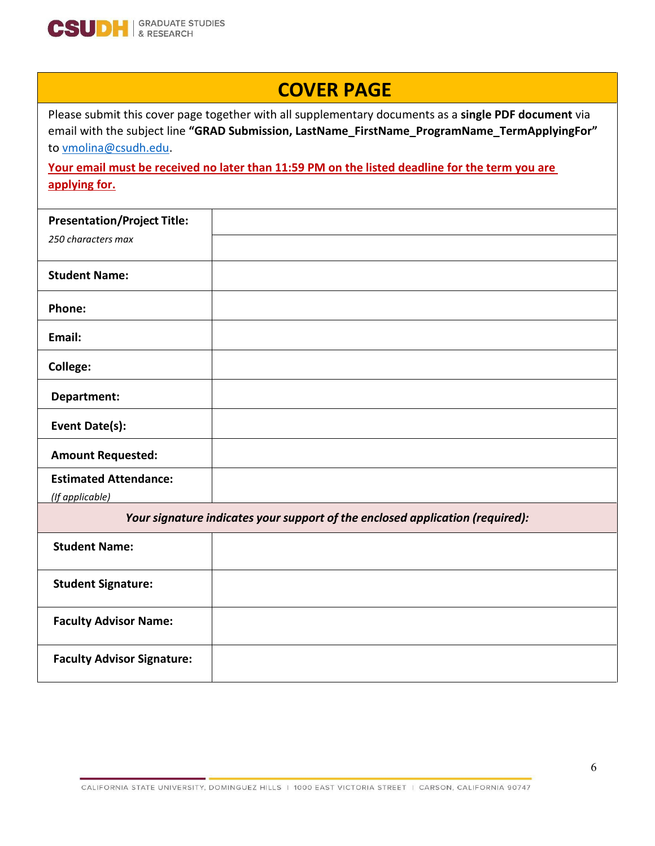

# **COVER PAGE**

Please submit this cover page together with all supplementary documents as a **single PDF document** via email with the subject line **"GRAD Submission, LastName\_FirstName\_ProgramName\_TermApplyingFor"**  to [vmolina@csudh.edu.](mailto:vmolina@csudh.edu) 

**Your email must be received no later than 11:59 PM on the listed deadline for the term you are applying for.** 

| <b>Presentation/Project Title:</b> |  |
|------------------------------------|--|
| 250 characters max                 |  |
| <b>Student Name:</b>               |  |
| Phone:                             |  |
| Email:                             |  |
| College:                           |  |
| Department:                        |  |
| <b>Event Date(s):</b>              |  |
| <b>Amount Requested:</b>           |  |
| <b>Estimated Attendance:</b>       |  |
| (If applicable)                    |  |

*Your signature indicates your support of the enclosed application (required):*

| <b>Student Name:</b>              |  |
|-----------------------------------|--|
| <b>Student Signature:</b>         |  |
| <b>Faculty Advisor Name:</b>      |  |
| <b>Faculty Advisor Signature:</b> |  |